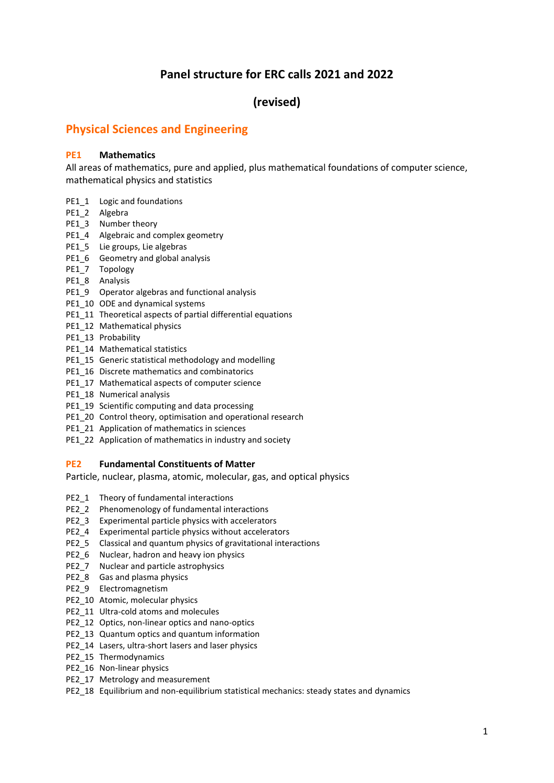# **Panel structure for ERC calls 2021 and 2022**

# **(revised)**

# **Physical Sciences and Engineering**

#### **PE1 Mathematics**

All areas of mathematics, pure and applied, plus mathematical foundations of computer science, mathematical physics and statistics

- PE1\_1 Logic and foundations
- PE1\_2 Algebra
- PE1\_3 Number theory
- PE1\_4 Algebraic and complex geometry
- PE1\_5 Lie groups, Lie algebras
- PE1\_6 Geometry and global analysis
- PE1\_7 Topology
- PE1\_8 Analysis
- PE1\_9 Operator algebras and functional analysis
- PE1\_10 ODE and dynamical systems
- PE1\_11 Theoretical aspects of partial differential equations
- PE1\_12 Mathematical physics
- PE1\_13 Probability
- PE1\_14 Mathematical statistics
- PE1\_15 Generic statistical methodology and modelling
- PE1\_16 Discrete mathematics and combinatorics
- PE1\_17 Mathematical aspects of computer science
- PE1\_18 Numerical analysis
- PE1\_19 Scientific computing and data processing
- PE1\_20 Control theory, optimisation and operational research
- PE1\_21 Application of mathematics in sciences
- PE1\_22 Application of mathematics in industry and society

# **PE2 Fundamental Constituents of Matter**

Particle, nuclear, plasma, atomic, molecular, gas, and optical physics

- PE2\_1 Theory of fundamental interactions
- PE2\_2 Phenomenology of fundamental interactions
- PE2\_3 Experimental particle physics with accelerators
- PE2\_4 Experimental particle physics without accelerators
- PE2\_5 Classical and quantum physics of gravitational interactions
- PE2\_6 Nuclear, hadron and heavy ion physics
- PE2\_7 Nuclear and particle astrophysics
- PE2 8 Gas and plasma physics
- PE2\_9 Electromagnetism
- PE2\_10 Atomic, molecular physics
- PE2\_11 Ultra-cold atoms and molecules
- PE2\_12 Optics, non-linear optics and nano-optics
- PE2\_13 Quantum optics and quantum information
- PE2\_14 Lasers, ultra-short lasers and laser physics
- PE2\_15 Thermodynamics
- PE2\_16 Non-linear physics
- PE2\_17 Metrology and measurement
- PE2\_18 Equilibrium and non-equilibrium statistical mechanics: steady states and dynamics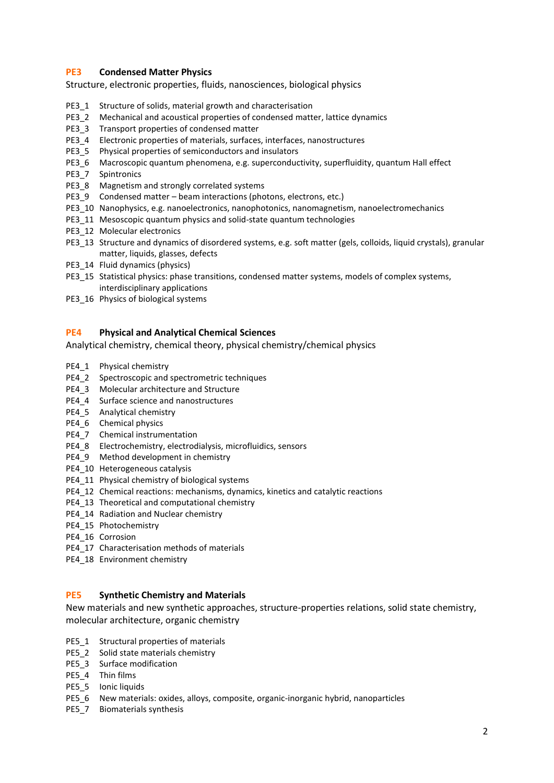# **PE3 Condensed Matter Physics**

Structure, electronic properties, fluids, nanosciences, biological physics

- PE3\_1 Structure of solids, material growth and characterisation
- PE3\_2 Mechanical and acoustical properties of condensed matter, lattice dynamics
- PE3\_3 Transport properties of condensed matter
- PE3\_4 Electronic properties of materials, surfaces, interfaces, nanostructures
- PE3\_5 Physical properties of semiconductors and insulators
- PE3\_6 Macroscopic quantum phenomena, e.g. superconductivity, superfluidity, quantum Hall effect
- PE3\_7 Spintronics
- PE3\_8 Magnetism and strongly correlated systems
- PE3\_9 Condensed matter beam interactions (photons, electrons, etc.)
- PE3\_10 Nanophysics, e.g. nanoelectronics, nanophotonics, nanomagnetism, nanoelectromechanics
- PE3\_11 Mesoscopic quantum physics and solid-state quantum technologies
- PE3\_12 Molecular electronics
- PE3\_13 Structure and dynamics of disordered systems, e.g. soft matter (gels, colloids, liquid crystals), granular matter, liquids, glasses, defects
- PE3\_14 Fluid dynamics (physics)
- PE3\_15 Statistical physics: phase transitions, condensed matter systems, models of complex systems, interdisciplinary applications
- PE3\_16 Physics of biological systems

# **PE4 Physical and Analytical Chemical Sciences**

Analytical chemistry, chemical theory, physical chemistry/chemical physics

- PE4\_1 Physical chemistry
- PE4\_2 Spectroscopic and spectrometric techniques
- PE4\_3 Molecular architecture and Structure
- PE4\_4 Surface science and nanostructures
- PE4\_5 Analytical chemistry
- PE4\_6 Chemical physics
- PE4\_7 Chemical instrumentation
- PE4\_8 Electrochemistry, electrodialysis, microfluidics, sensors
- PE4\_9 Method development in chemistry
- PE4\_10 Heterogeneous catalysis
- PE4\_11 Physical chemistry of biological systems
- PE4\_12 Chemical reactions: mechanisms, dynamics, kinetics and catalytic reactions
- PE4\_13 Theoretical and computational chemistry
- PE4\_14 Radiation and Nuclear chemistry
- PE4\_15 Photochemistry
- PE4\_16 Corrosion
- PE4\_17 Characterisation methods of materials
- PE4\_18 Environment chemistry

# **PE5 Synthetic Chemistry and Materials**

New materials and new synthetic approaches, structure-properties relations, solid state chemistry, molecular architecture, organic chemistry

- PE5\_1 Structural properties of materials
- PE5\_2 Solid state materials chemistry
- PE5\_3 Surface modification
- PE5\_4 Thin films
- PE5\_5 Ionic liquids
- PE5\_6 New materials: oxides, alloys, composite, organic-inorganic hybrid, nanoparticles
- PE5\_7 Biomaterials synthesis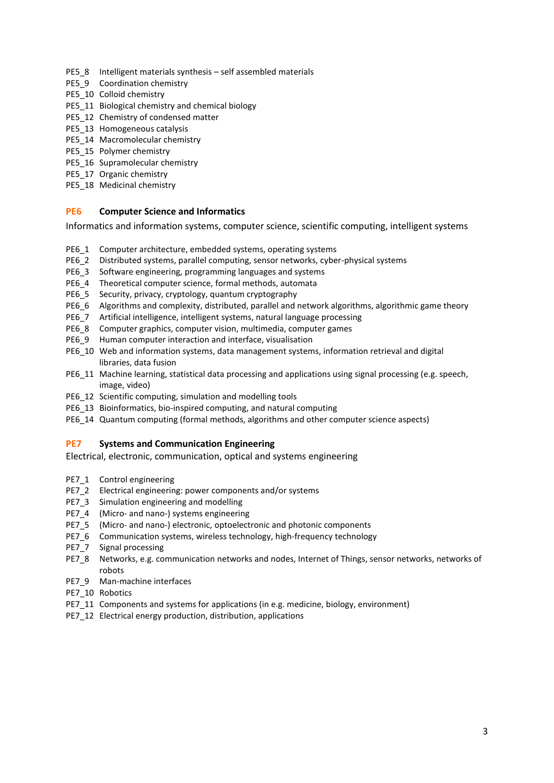- PE5\_8 Intelligent materials synthesis self assembled materials
- PE5\_9 Coordination chemistry
- PE5\_10 Colloid chemistry
- PE5\_11 Biological chemistry and chemical biology
- PE5\_12 Chemistry of condensed matter
- PE5\_13 Homogeneous catalysis
- PE5\_14 Macromolecular chemistry
- PE5\_15 Polymer chemistry
- PE5\_16 Supramolecular chemistry
- PE5\_17 Organic chemistry
- PE5\_18 Medicinal chemistry

# **PE6 Computer Science and Informatics**

Informatics and information systems, computer science, scientific computing, intelligent systems

- PE6\_1 Computer architecture, embedded systems, operating systems
- PE6\_2 Distributed systems, parallel computing, sensor networks, cyber-physical systems
- PE6\_3 Software engineering, programming languages and systems
- PE6\_4 Theoretical computer science, formal methods, automata
- PE6\_5 Security, privacy, cryptology, quantum cryptography
- PE6\_6 Algorithms and complexity, distributed, parallel and network algorithms, algorithmic game theory
- PE6\_7 Artificial intelligence, intelligent systems, natural language processing
- PE6\_8 Computer graphics, computer vision, multimedia, computer games
- PE6\_9 Human computer interaction and interface, visualisation
- PE6\_10 Web and information systems, data management systems, information retrieval and digital libraries, data fusion
- PE6\_11 Machine learning, statistical data processing and applications using signal processing (e.g. speech, image, video)
- PE6\_12 Scientific computing, simulation and modelling tools
- PE6\_13 Bioinformatics, bio-inspired computing, and natural computing
- PE6\_14 Quantum computing (formal methods, algorithms and other computer science aspects)

# **PE7 Systems and Communication Engineering**

Electrical, electronic, communication, optical and systems engineering

- PE7\_1 Control engineering
- PE7\_2 Electrical engineering: power components and/or systems
- PE7\_3 Simulation engineering and modelling
- PE7\_4 (Micro- and nano-) systems engineering
- PE7\_5 (Micro- and nano-) electronic, optoelectronic and photonic components
- PE7\_6 Communication systems, wireless technology, high-frequency technology
- PE7\_7 Signal processing
- PE7\_8 Networks, e.g. communication networks and nodes, Internet of Things, sensor networks, networks of robots
- PE7\_9 Man-machine interfaces
- PE7\_10 Robotics
- PE7\_11 Components and systems for applications (in e.g. medicine, biology, environment)
- PE7\_12 Electrical energy production, distribution, applications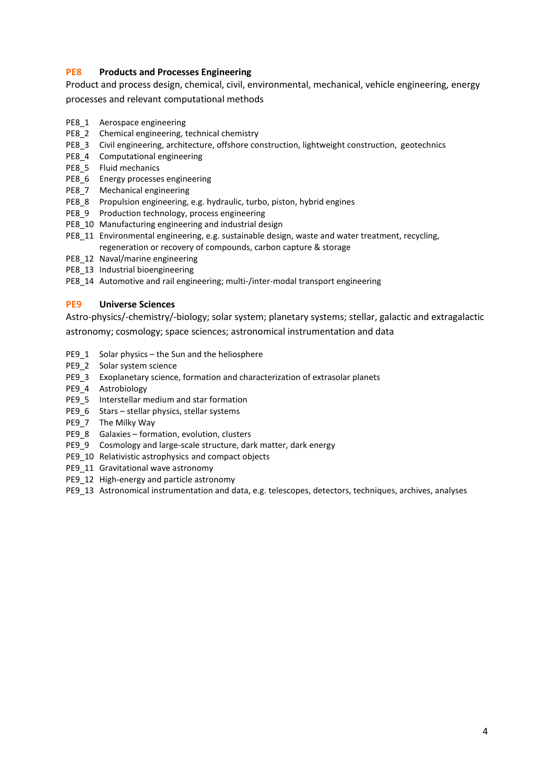# **PE8 Products and Processes Engineering**

Product and process design, chemical, civil, environmental, mechanical, vehicle engineering, energy processes and relevant computational methods

- PE8\_1 Aerospace engineering
- PE8\_2 Chemical engineering, technical chemistry
- PE8\_3 Civil engineering, architecture, offshore construction, lightweight construction, geotechnics
- PE8\_4 Computational engineering
- PE8\_5 Fluid mechanics
- PE8\_6 Energy processes engineering
- PE8\_7 Mechanical engineering
- PE8\_8 Propulsion engineering, e.g. hydraulic, turbo, piston, hybrid engines
- PE8\_9 Production technology, process engineering
- PE8\_10 Manufacturing engineering and industrial design
- PE8\_11 Environmental engineering, e.g. sustainable design, waste and water treatment, recycling, regeneration or recovery of compounds, carbon capture & storage
- PE8 12 Naval/marine engineering
- PE8\_13 Industrial bioengineering
- PE8\_14 Automotive and rail engineering; multi-/inter-modal transport engineering

#### **PE9 Universe Sciences**

Astro-physics/-chemistry/-biology; solar system; planetary systems; stellar, galactic and extragalactic astronomy; cosmology; space sciences; astronomical instrumentation and data

- PE9\_1 Solar physics the Sun and the heliosphere
- PE9\_2 Solar system science
- PE9\_3 Exoplanetary science, formation and characterization of extrasolar planets
- PE9\_4 Astrobiology
- PE9\_5 Interstellar medium and star formation
- PE9\_6 Stars stellar physics, stellar systems
- PE9\_7 The Milky Way
- PE9\_8 Galaxies formation, evolution, clusters
- PE9\_9 Cosmology and large-scale structure, dark matter, dark energy
- PE9\_10 Relativistic astrophysics and compact objects
- PE9\_11 Gravitational wave astronomy
- PE9\_12 High-energy and particle astronomy
- PE9\_13 Astronomical instrumentation and data, e.g. telescopes, detectors, techniques, archives, analyses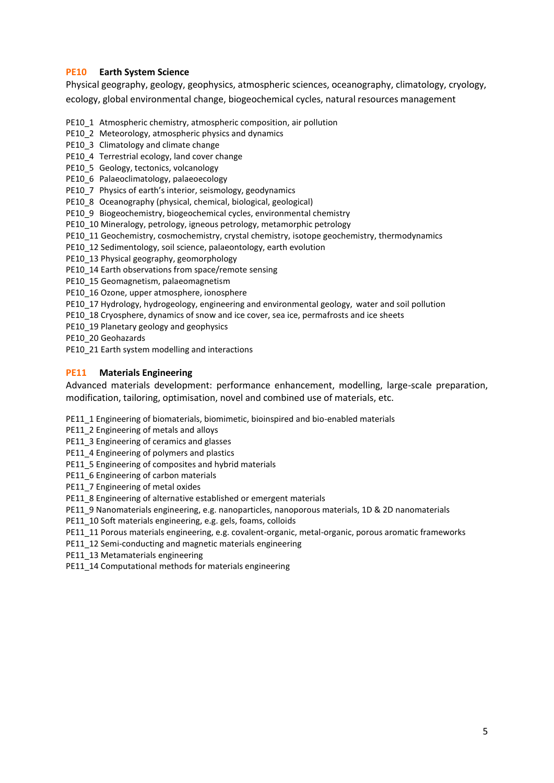# **PE10 Earth System Science**

Physical geography, geology, geophysics, atmospheric sciences, oceanography, climatology, cryology, ecology, global environmental change, biogeochemical cycles, natural resources management

PE10\_1 Atmospheric chemistry, atmospheric composition, air pollution

- PE10\_2 Meteorology, atmospheric physics and dynamics
- PE10\_3 Climatology and climate change
- PE10\_4 Terrestrial ecology, land cover change
- PE10\_5 Geology, tectonics, volcanology
- PE10\_6 Palaeoclimatology, palaeoecology
- PE10\_7 Physics of earth's interior, seismology, geodynamics
- PE10\_8 Oceanography (physical, chemical, biological, geological)
- PE10\_9 Biogeochemistry, biogeochemical cycles, environmental chemistry
- PE10\_10 Mineralogy, petrology, igneous petrology, metamorphic petrology
- PE10\_11 Geochemistry, cosmochemistry, crystal chemistry, isotope geochemistry, thermodynamics
- PE10\_12 Sedimentology, soil science, palaeontology, earth evolution
- PE10\_13 Physical geography, geomorphology
- PE10\_14 Earth observations from space/remote sensing
- PE10\_15 Geomagnetism, palaeomagnetism
- PE10\_16 Ozone, upper atmosphere, ionosphere
- PE10\_17 Hydrology, hydrogeology, engineering and environmental geology, water and soil pollution
- PE10\_18 Cryosphere, dynamics of snow and ice cover, sea ice, permafrosts and ice sheets
- PE10\_19 Planetary geology and geophysics
- PE10\_20 Geohazards
- PE10\_21 Earth system modelling and interactions

# **PE11 Materials Engineering**

Advanced materials development: performance enhancement, modelling, large-scale preparation, modification, tailoring, optimisation, novel and combined use of materials, etc.

- PE11\_1 Engineering of biomaterials, biomimetic, bioinspired and bio-enabled materials
- PE11\_2 Engineering of metals and alloys
- PE11\_3 Engineering of ceramics and glasses
- PE11\_4 Engineering of polymers and plastics
- PE11\_5 Engineering of composites and hybrid materials
- PE11\_6 Engineering of carbon materials
- PE11\_7 Engineering of metal oxides
- PE11\_8 Engineering of alternative established or emergent materials
- PE11\_9 Nanomaterials engineering, e.g. nanoparticles, nanoporous materials, 1D & 2D nanomaterials
- PE11\_10 Soft materials engineering, e.g. gels, foams, colloids
- PE11\_11 Porous materials engineering, e.g. covalent-organic, metal-organic, porous aromatic frameworks
- PE11\_12 Semi-conducting and magnetic materials engineering
- PE11\_13 Metamaterials engineering
- PE11\_14 Computational methods for materials engineering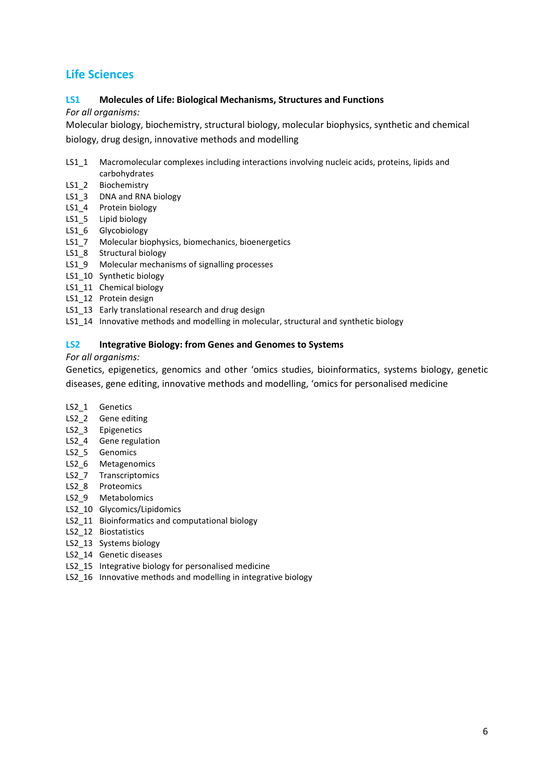# **Life Sciences**

# **LS1 Molecules of Life: Biological Mechanisms, Structures and Functions**

*For all organisms:*

Molecular biology, biochemistry, structural biology, molecular biophysics, synthetic and chemical biology, drug design, innovative methods and modelling

- LS1\_1 Macromolecular complexes including interactions involving nucleic acids, proteins, lipids and carbohydrates
- LS1\_2 Biochemistry
- LS1\_3 DNA and RNA biology
- LS1 4 Protein biology
- LS1 5 Lipid biology
- LS1\_6 Glycobiology
- LS1\_7 Molecular biophysics, biomechanics, bioenergetics
- LS1 8 Structural biology
- LS1\_9 Molecular mechanisms of signalling processes
- LS1 10 Synthetic biology
- LS1\_11 Chemical biology
- LS1\_12 Protein design
- LS1\_13 Early translational research and drug design
- LS1\_14 Innovative methods and modelling in molecular, structural and synthetic biology

# **LS2 Integrative Biology: from Genes and Genomes to Systems**

#### *For all organisms:*

Genetics, epigenetics, genomics and other 'omics studies, bioinformatics, systems biology, genetic diseases, gene editing, innovative methods and modelling, 'omics for personalised medicine

- LS2\_1 Genetics
- LS2\_2 Gene editing
- LS2\_3 Epigenetics
- LS2 4 Gene regulation
- LS2 5 Genomics
- LS2 6 Metagenomics
- LS2\_7 Transcriptomics
- LS2\_8 Proteomics
- LS2\_9 Metabolomics
- LS2\_10 Glycomics/Lipidomics
- LS2\_11 Bioinformatics and computational biology
- LS2\_12 Biostatistics
- LS2\_13 Systems biology
- LS2\_14 Genetic diseases
- LS2\_15 Integrative biology for personalised medicine
- LS2\_16 Innovative methods and modelling in integrative biology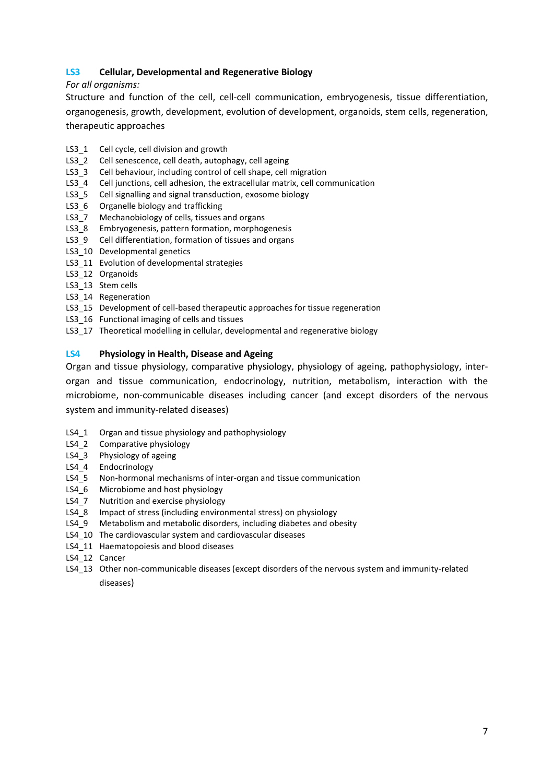# **LS3 Cellular, Developmental and Regenerative Biology**

# *For all organisms:*

Structure and function of the cell, cell-cell communication, embryogenesis, tissue differentiation, organogenesis, growth, development, evolution of development, organoids, stem cells, regeneration, therapeutic approaches

- LS3 1 Cell cycle, cell division and growth
- LS3 2 Cell senescence, cell death, autophagy, cell ageing
- LS3\_3 Cell behaviour, including control of cell shape, cell migration
- LS3\_4 Cell junctions, cell adhesion, the extracellular matrix, cell communication
- LS3 5 Cell signalling and signal transduction, exosome biology
- LS3 6 Organelle biology and trafficking
- LS3 7 Mechanobiology of cells, tissues and organs
- LS3 8 Embryogenesis, pattern formation, morphogenesis
- LS3 9 Cell differentiation, formation of tissues and organs
- LS3 10 Developmental genetics
- LS3 11 Evolution of developmental strategies
- LS3 12 Organoids
- LS3\_13 Stem cells
- LS3\_14 Regeneration
- LS3 15 Development of cell-based therapeutic approaches for tissue regeneration
- LS3\_16 Functional imaging of cells and tissues
- LS3 17 Theoretical modelling in cellular, developmental and regenerative biology

# **LS4 Physiology in Health, Disease and Ageing**

Organ and tissue physiology, comparative physiology, physiology of ageing, pathophysiology, interorgan and tissue communication, endocrinology, nutrition, metabolism, interaction with the microbiome, non-communicable diseases including cancer (and except disorders of the nervous system and immunity-related diseases)

- LS4 1 Organ and tissue physiology and pathophysiology
- LS4 2 Comparative physiology
- LS4 3 Physiology of ageing
- LS4 4 Endocrinology
- LS4\_5 Non-hormonal mechanisms of inter-organ and tissue communication
- LS4 6 Microbiome and host physiology
- LS4 7 Nutrition and exercise physiology
- LS4 8 Impact of stress (including environmental stress) on physiology
- LS4 9 Metabolism and metabolic disorders, including diabetes and obesity
- LS4\_10 The cardiovascular system and cardiovascular diseases
- LS4 11 Haematopoiesis and blood diseases
- LS4 12 Cancer
- LS4\_13 Other non-communicable diseases (except disorders of the nervous system and immunity-related diseases)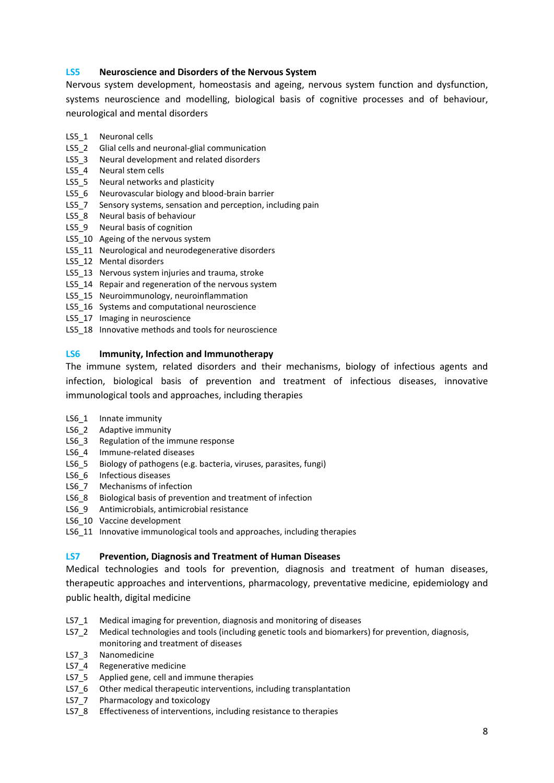# **LS5 Neuroscience and Disorders of the Nervous System**

Nervous system development, homeostasis and ageing, nervous system function and dysfunction, systems neuroscience and modelling, biological basis of cognitive processes and of behaviour, neurological and mental disorders

- LS5\_1 Neuronal cells
- LS5 2 Glial cells and neuronal-glial communication
- LS5\_3 Neural development and related disorders
- LS5 4 Neural stem cells
- LS5 5 Neural networks and plasticity
- LS5\_6 Neurovascular biology and blood-brain barrier
- LS5 7 Sensory systems, sensation and perception, including pain
- LS5 8 Neural basis of behaviour
- LS5\_9 Neural basis of cognition
- LS5 10 Ageing of the nervous system
- LS5 11 Neurological and neurodegenerative disorders
- LS5\_12 Mental disorders
- LS5 13 Nervous system injuries and trauma, stroke
- LS5 14 Repair and regeneration of the nervous system
- LS5 15 Neuroimmunology, neuroinflammation
- LS5\_16 Systems and computational neuroscience
- LS5 17 Imaging in neuroscience
- LS5\_18 Innovative methods and tools for neuroscience

# **LS6 Immunity, Infection and Immunotherapy**

The immune system, related disorders and their mechanisms, biology of infectious agents and infection, biological basis of prevention and treatment of infectious diseases, innovative immunological tools and approaches, including therapies

- LS6 1 Innate immunity
- LS6\_2 Adaptive immunity
- LS6 3 Regulation of the immune response
- LS6 4 Immune-related diseases
- LS6\_5 Biology of pathogens (e.g. bacteria, viruses, parasites, fungi)
- LS6 6 Infectious diseases
- LS6 7 Mechanisms of infection
- LS6 8 Biological basis of prevention and treatment of infection
- LS6\_9 Antimicrobials, antimicrobial resistance
- LS6 10 Vaccine development
- LS6\_11 Innovative immunological tools and approaches, including therapies

# **LS7 Prevention, Diagnosis and Treatment of Human Diseases**

Medical technologies and tools for prevention, diagnosis and treatment of human diseases, therapeutic approaches and interventions, pharmacology, preventative medicine, epidemiology and public health, digital medicine

- LS7 1 Medical imaging for prevention, diagnosis and monitoring of diseases
- LS7\_2 Medical technologies and tools (including genetic tools and biomarkers) for prevention, diagnosis, monitoring and treatment of diseases
- LS7 3 Nanomedicine
- LS7\_4 Regenerative medicine
- LS7 5 Applied gene, cell and immune therapies
- LS7 6 Other medical therapeutic interventions, including transplantation
- LS7\_7 Pharmacology and toxicology
- LS7\_8 Effectiveness of interventions, including resistance to therapies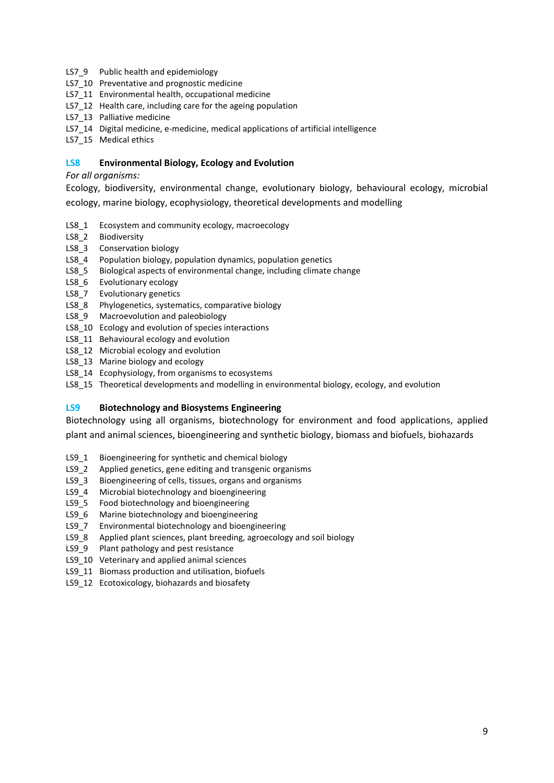- LS7\_9 Public health and epidemiology
- LS7 10 Preventative and prognostic medicine
- LS7\_11 Environmental health, occupational medicine
- LS7 12 Health care, including care for the ageing population
- LS7 13 Palliative medicine
- LS7\_14 Digital medicine, e-medicine, medical applications of artificial intelligence
- LS7\_15 Medical ethics

### **LS8 Environmental Biology, Ecology and Evolution**

*For all organisms:*

Ecology, biodiversity, environmental change, evolutionary biology, behavioural ecology, microbial ecology, marine biology, ecophysiology, theoretical developments and modelling

- LS8 1 Ecosystem and community ecology, macroecology
- LS8\_2 Biodiversity
- LS8\_3 Conservation biology
- LS8 4 Population biology, population dynamics, population genetics
- LS8 5 Biological aspects of environmental change, including climate change
- LS8 6 Evolutionary ecology
- LS8\_7 Evolutionary genetics
- LS8\_8 Phylogenetics, systematics, comparative biology
- LS8 9 Macroevolution and paleobiology
- LS8 10 Ecology and evolution of species interactions
- LS8\_11 Behavioural ecology and evolution
- LS8\_12 Microbial ecology and evolution
- LS8\_13 Marine biology and ecology
- LS8 14 Ecophysiology, from organisms to ecosystems
- LS8 15 Theoretical developments and modelling in environmental biology, ecology, and evolution

#### **LS9 Biotechnology and Biosystems Engineering**

Biotechnology using all organisms, biotechnology for environment and food applications, applied plant and animal sciences, bioengineering and synthetic biology, biomass and biofuels, biohazards

- LS9 1 Bioengineering for synthetic and chemical biology
- LS9\_2 Applied genetics, gene editing and transgenic organisms
- LS9\_3 Bioengineering of cells, tissues, organs and organisms
- LS9 4 Microbial biotechnology and bioengineering
- LS9 5 Food biotechnology and bioengineering
- LS9\_6 Marine biotechnology and bioengineering
- LS9 7 Environmental biotechnology and bioengineering
- LS9\_8 Applied plant sciences, plant breeding, agroecology and soil biology
- LS9 9 Plant pathology and pest resistance
- LS9 10 Veterinary and applied animal sciences
- LS9 11 Biomass production and utilisation, biofuels
- LS9 12 Ecotoxicology, biohazards and biosafety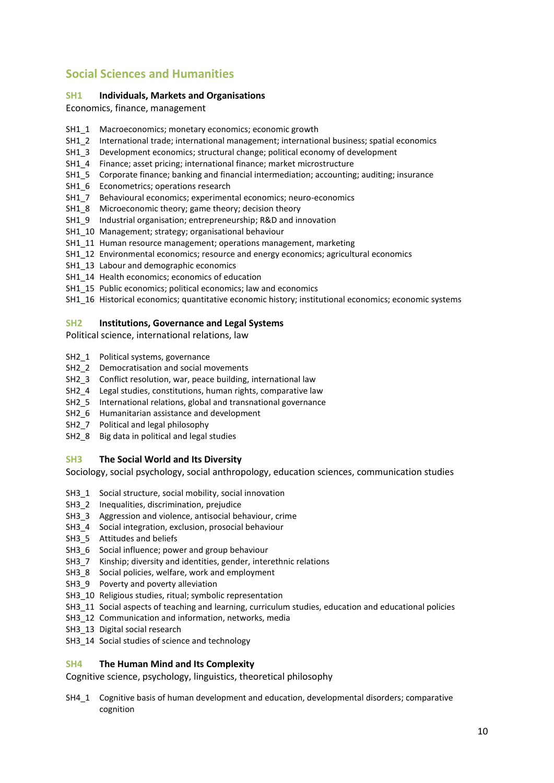# **Social Sciences and Humanities**

# **SH1 Individuals, Markets and Organisations**

Economics, finance, management

- SH1\_1 Macroeconomics; monetary economics; economic growth
- SH1\_2 International trade; international management; international business; spatial economics
- SH1\_3 Development economics; structural change; political economy of development
- SH1\_4 Finance; asset pricing; international finance; market microstructure
- SH1\_5 Corporate finance; banking and financial intermediation; accounting; auditing; insurance
- SH1\_6 Econometrics; operations research
- SH1\_7 Behavioural economics; experimental economics; neuro-economics
- SH1\_8 Microeconomic theory; game theory; decision theory
- SH1\_9 Industrial organisation; entrepreneurship; R&D and innovation
- SH1\_10 Management; strategy; organisational behaviour
- SH1\_11 Human resource management; operations management, marketing
- SH1\_12 Environmental economics; resource and energy economics; agricultural economics
- SH1\_13 Labour and demographic economics
- SH1\_14 Health economics; economics of education
- SH1\_15 Public economics; political economics; law and economics

SH1\_16 Historical economics; quantitative economic history; institutional economics; economic systems

#### **SH2 Institutions, Governance and Legal Systems**

Political science, international relations, law

- SH2\_1 Political systems, governance
- SH2<sup>2</sup> Democratisation and social movements
- SH2\_3 Conflict resolution, war, peace building, international law
- SH2\_4 Legal studies, constitutions, human rights, comparative law
- SH2\_5 International relations, global and transnational governance
- SH2 6 Humanitarian assistance and development
- SH2\_7 Political and legal philosophy
- SH2 8 Big data in political and legal studies

# **SH3 The Social World and Its Diversity**

Sociology, social psychology, social anthropology, education sciences, communication studies

- SH3\_1 Social structure, social mobility, social innovation
- SH3\_2 Inequalities, discrimination, prejudice
- SH3<sup>3</sup> Aggression and violence, antisocial behaviour, crime
- SH3\_4 Social integration, exclusion, prosocial behaviour
- SH3\_5 Attitudes and beliefs
- SH3 6 Social influence; power and group behaviour
- SH3\_7 Kinship; diversity and identities, gender, interethnic relations
- SH3\_8 Social policies, welfare, work and employment
- SH3 9 Poverty and poverty alleviation
- SH3 10 Religious studies, ritual; symbolic representation
- SH3 11 Social aspects of teaching and learning, curriculum studies, education and educational policies
- SH3\_12 Communication and information, networks, media
- SH3 13 Digital social research
- SH3 14 Social studies of science and technology

# **SH4 The Human Mind and Its Complexity**

Cognitive science, psychology, linguistics, theoretical philosophy

SH4\_1 Cognitive basis of human development and education, developmental disorders; comparative cognition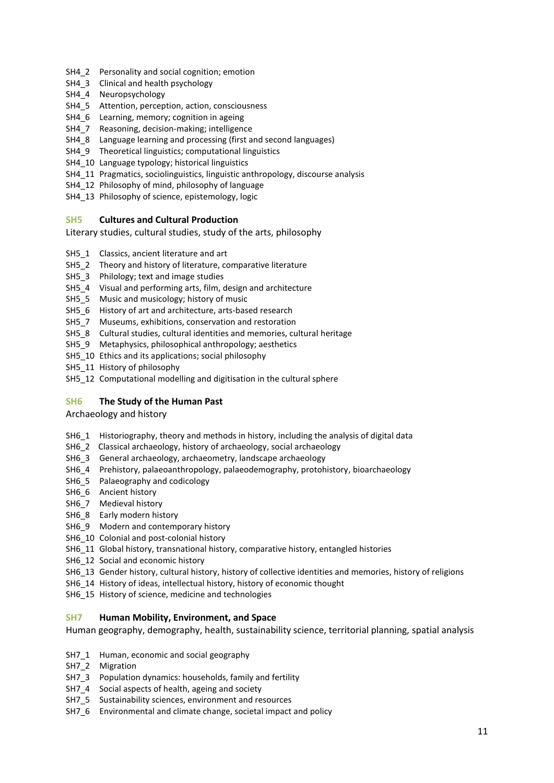- SH4\_2 Personality and social cognition; emotion
- SH4 3 Clinical and health psychology
- SH4\_4 Neuropsychology
- SH4\_5 Attention, perception, action, consciousness
- SH4 6 Learning, memory; cognition in ageing
- SH4\_7 Reasoning, decision-making; intelligence
- SH4 8 Language learning and processing (first and second languages)
- SH4\_9 Theoretical linguistics; computational linguistics
- SH4\_10 Language typology; historical linguistics
- SH4\_11 Pragmatics, sociolinguistics, linguistic anthropology, discourse analysis
- SH4 12 Philosophy of mind, philosophy of language
- SH4 13 Philosophy of science, epistemology, logic

#### **SH5 Cultures and Cultural Production**

Literary studies, cultural studies, study of the arts, philosophy

- SH5\_1 Classics, ancient literature and art
- SH5\_2 Theory and history of literature, comparative literature
- SH5\_3 Philology; text and image studies
- SH5\_4 Visual and performing arts, film, design and architecture
- SH5\_5 Music and musicology; history of music
- SH5\_6 History of art and architecture, arts-based research
- SH5\_7 Museums, exhibitions, conservation and restoration
- SH5 8 Cultural studies, cultural identities and memories, cultural heritage
- SH5\_9 Metaphysics, philosophical anthropology; aesthetics
- SH5\_10 Ethics and its applications; social philosophy
- SH5\_11 History of philosophy
- SH5\_12 Computational modelling and digitisation in the cultural sphere

# **SH6 The Study of the Human Past**

Archaeology and history

- SH6\_1 Historiography, theory and methods in history, including the analysis of digital data
- SH6\_2 Classical archaeology, history of archaeology, social archaeology
- SH6 3 General archaeology, archaeometry, landscape archaeology
- SH6\_4 Prehistory, palaeoanthropology, palaeodemography, protohistory, bioarchaeology
- SH6\_5 Palaeography and codicology
- SH6\_6 Ancient history
- SH6\_7 Medieval history
- SH6\_8 Early modern history
- SH6\_9 Modern and contemporary history
- SH6\_10 Colonial and post-colonial history
- SH6\_11 Global history, transnational history, comparative history, entangled histories
- SH6\_12 Social and economic history
- SH6\_13 Gender history, cultural history, history of collective identities and memories, history of religions
- SH6\_14 History of ideas, intellectual history, history of economic thought
- SH6\_15 History of science, medicine and technologies

# **SH7 Human Mobility, Environment, and Space**

Human geography, demography, health, sustainability science, territorial planning, spatial analysis

- SH7\_1 Human, economic and social geography
- SH7\_2 Migration
- SH7\_3 Population dynamics: households, family and fertility
- SH7 4 Social aspects of health, ageing and society
- SH7\_5 Sustainability sciences, environment and resources
- SH7\_6 Environmental and climate change, societal impact and policy